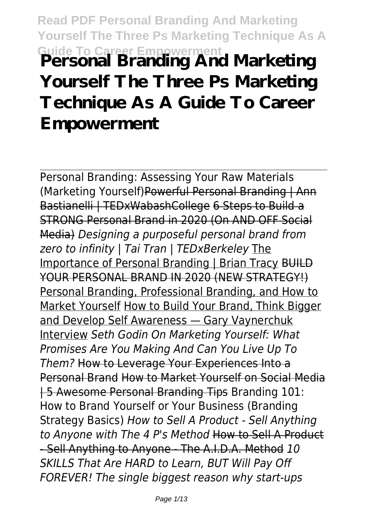# **Read PDF Personal Branding And Marketing Yourself The Three Ps Marketing Technique As A Guide To Career Empowerment Personal Branding And Marketing Yourself The Three Ps Marketing Technique As A Guide To Career Empowerment**

Personal Branding: Assessing Your Raw Materials (Marketing Yourself)Powerful Personal Branding | Ann Bastianelli | TEDxWabashCollege 6 Steps to Build a STRONG Personal Brand in 2020 (On AND OFF Social Media) *Designing a purposeful personal brand from zero to infinity | Tai Tran | TEDxBerkeley* The Importance of Personal Branding | Brian Tracy BUILD YOUR PERSONAL BRAND IN 2020 (NEW STRATEGY!) Personal Branding, Professional Branding, and How to Market Yourself How to Build Your Brand, Think Bigger and Develop Self Awareness — Gary Vaynerchuk Interview *Seth Godin On Marketing Yourself: What Promises Are You Making And Can You Live Up To Them?* How to Leverage Your Experiences Into a Personal Brand How to Market Yourself on Social Media | 5 Awesome Personal Branding Tips Branding 101: How to Brand Yourself or Your Business (Branding Strategy Basics) *How to Sell A Product - Sell Anything to Anyone with The 4 P's Method* How to Sell A Product - Sell Anything to Anyone - The A.I.D.A. Method *10 SKILLS That Are HARD to Learn, BUT Will Pay Off FOREVER! The single biggest reason why start-ups*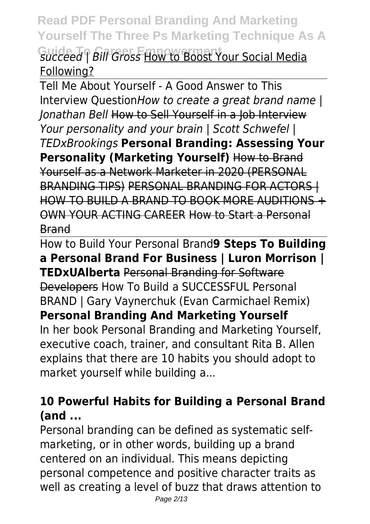**Read PDF Personal Branding And Marketing Yourself The Three Ps Marketing Technique As A Guide To Career Empowerment** *succeed | Bill Gross* How to Boost Your Social Media Following?

Tell Me About Yourself - A Good Answer to This Interview Question*How to create a great brand name | Jonathan Bell* How to Sell Yourself in a Job Interview *Your personality and your brain | Scott Schwefel | TEDxBrookings* **Personal Branding: Assessing Your Personality (Marketing Yourself)** How to Brand Yourself as a Network Marketer in 2020 (PERSONAL BRANDING TIPS) PERSONAL BRANDING FOR ACTORS | HOW TO BUILD A BRAND TO BOOK MORE AUDITIONS + OWN YOUR ACTING CAREER How to Start a Personal Brand

How to Build Your Personal Brand**9 Steps To Building a Personal Brand For Business | Luron Morrison | TEDxUAlberta** Personal Branding for Software Developers How To Build a SUCCESSFUL Personal BRAND | Gary Vaynerchuk (Evan Carmichael Remix) **Personal Branding And Marketing Yourself** In her book Personal Branding and Marketing Yourself, executive coach, trainer, and consultant Rita B. Allen explains that there are 10 habits you should adopt to market yourself while building a...

## **10 Powerful Habits for Building a Personal Brand (and ...**

Personal branding can be defined as systematic selfmarketing, or in other words, building up a brand centered on an individual. This means depicting personal competence and positive character traits as well as creating a level of buzz that draws attention to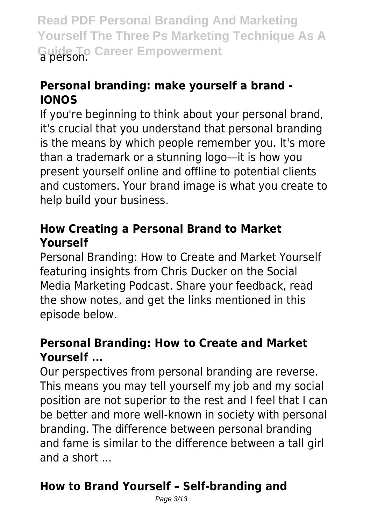**Read PDF Personal Branding And Marketing Yourself The Three Ps Marketing Technique As A Guide To Career Empowerment** a person.

## **Personal branding: make yourself a brand - IONOS**

If you're beginning to think about your personal brand, it's crucial that you understand that personal branding is the means by which people remember you. It's more than a trademark or a stunning logo—it is how you present yourself online and offline to potential clients and customers. Your brand image is what you create to help build your business.

#### **How Creating a Personal Brand to Market Yourself**

Personal Branding: How to Create and Market Yourself featuring insights from Chris Ducker on the Social Media Marketing Podcast. Share your feedback, read the show notes, and get the links mentioned in this episode below.

#### **Personal Branding: How to Create and Market Yourself ...**

Our perspectives from personal branding are reverse. This means you may tell yourself my job and my social position are not superior to the rest and I feel that I can be better and more well-known in society with personal branding. The difference between personal branding and fame is similar to the difference between a tall girl and a short ...

# **How to Brand Yourself – Self-branding and**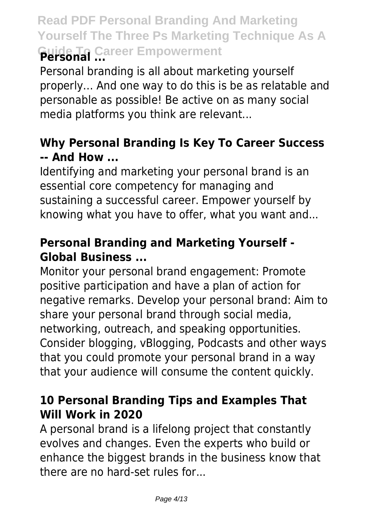# **Read PDF Personal Branding And Marketing Yourself The Three Ps Marketing Technique As A Guide To Career Empowerment Personal ...**

Personal branding is all about marketing yourself properly… And one way to do this is be as relatable and personable as possible! Be active on as many social media platforms you think are relevant...

## **Why Personal Branding Is Key To Career Success -- And How ...**

Identifying and marketing your personal brand is an essential core competency for managing and sustaining a successful career. Empower yourself by knowing what you have to offer, what you want and...

## **Personal Branding and Marketing Yourself - Global Business ...**

Monitor your personal brand engagement: Promote positive participation and have a plan of action for negative remarks. Develop your personal brand: Aim to share your personal brand through social media, networking, outreach, and speaking opportunities. Consider blogging, vBlogging, Podcasts and other ways that you could promote your personal brand in a way that your audience will consume the content quickly.

#### **10 Personal Branding Tips and Examples That Will Work in 2020**

A personal brand is a lifelong project that constantly evolves and changes. Even the experts who build or enhance the biggest brands in the business know that there are no hard-set rules for...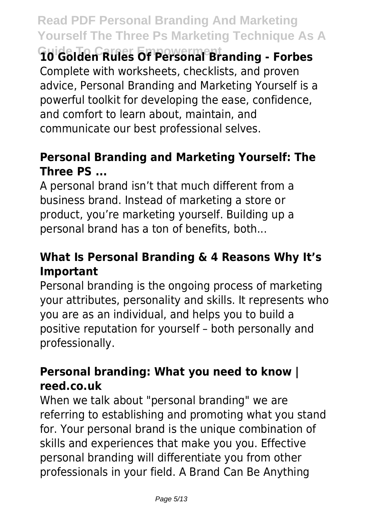**Guide To Career Empowerment 10 Golden Rules Of Personal Branding - Forbes** Complete with worksheets, checklists, and proven advice, Personal Branding and Marketing Yourself is a powerful toolkit for developing the ease, confidence, and comfort to learn about, maintain, and communicate our best professional selves.

#### **Personal Branding and Marketing Yourself: The Three PS ...**

A personal brand isn't that much different from a business brand. Instead of marketing a store or product, you're marketing yourself. Building up a personal brand has a ton of benefits, both...

#### **What Is Personal Branding & 4 Reasons Why It's Important**

Personal branding is the ongoing process of marketing your attributes, personality and skills. It represents who you are as an individual, and helps you to build a positive reputation for yourself – both personally and professionally.

#### **Personal branding: What you need to know | reed.co.uk**

When we talk about "personal branding" we are referring to establishing and promoting what you stand for. Your personal brand is the unique combination of skills and experiences that make you you. Effective personal branding will differentiate you from other professionals in your field. A Brand Can Be Anything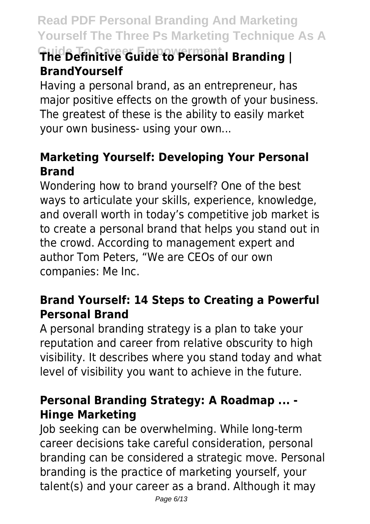# **Guide To Career Empowerment The Definitive Guide to Personal Branding | BrandYourself**

Having a personal brand, as an entrepreneur, has major positive effects on the growth of your business. The greatest of these is the ability to easily market your own business- using your own...

## **Marketing Yourself: Developing Your Personal Brand**

Wondering how to brand yourself? One of the best ways to articulate your skills, experience, knowledge, and overall worth in today's competitive job market is to create a personal brand that helps you stand out in the crowd. According to management expert and author Tom Peters, "We are CEOs of our own companies: Me Inc.

## **Brand Yourself: 14 Steps to Creating a Powerful Personal Brand**

A personal branding strategy is a plan to take your reputation and career from relative obscurity to high visibility. It describes where you stand today and what level of visibility you want to achieve in the future.

#### **Personal Branding Strategy: A Roadmap ... - Hinge Marketing**

Job seeking can be overwhelming. While long-term career decisions take careful consideration, personal branding can be considered a strategic move. Personal branding is the practice of marketing yourself, your talent(s) and your career as a brand. Although it may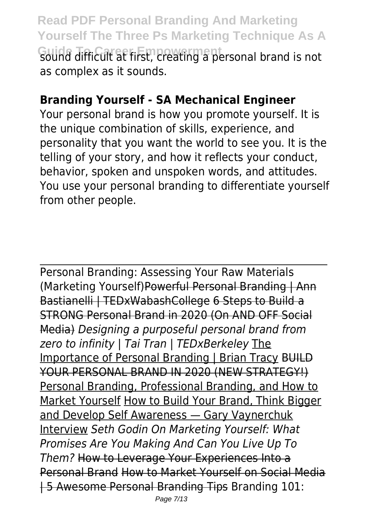**Read PDF Personal Branding And Marketing Yourself The Three Ps Marketing Technique As A Guide To Career Empowerment** sound difficult at first, creating a personal brand is not as complex as it sounds.

## **Branding Yourself - SA Mechanical Engineer**

Your personal brand is how you promote yourself. It is the unique combination of skills, experience, and personality that you want the world to see you. It is the telling of your story, and how it reflects your conduct, behavior, spoken and unspoken words, and attitudes. You use your personal branding to differentiate yourself from other people.

Personal Branding: Assessing Your Raw Materials (Marketing Yourself)Powerful Personal Branding | Ann Bastianelli | TEDxWabashCollege 6 Steps to Build a STRONG Personal Brand in 2020 (On AND OFF Social Media) *Designing a purposeful personal brand from zero to infinity | Tai Tran | TEDxBerkeley* The Importance of Personal Branding | Brian Tracy BUILD YOUR PERSONAL BRAND IN 2020 (NEW STRATEGY!) Personal Branding, Professional Branding, and How to Market Yourself How to Build Your Brand, Think Bigger and Develop Self Awareness — Gary Vaynerchuk Interview *Seth Godin On Marketing Yourself: What Promises Are You Making And Can You Live Up To Them?* How to Leverage Your Experiences Into a Personal Brand How to Market Yourself on Social Media | 5 Awesome Personal Branding Tips Branding 101: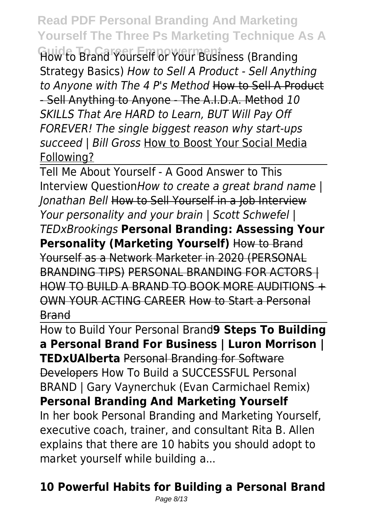**Guide To Career Empowerment** How to Brand Yourself or Your Business (Branding Strategy Basics) *How to Sell A Product - Sell Anything to Anyone with The 4 P's Method* How to Sell A Product - Sell Anything to Anyone - The A.I.D.A. Method *10 SKILLS That Are HARD to Learn, BUT Will Pay Off FOREVER! The single biggest reason why start-ups succeed | Bill Gross* How to Boost Your Social Media Following?

Tell Me About Yourself - A Good Answer to This Interview Question*How to create a great brand name | Jonathan Bell* How to Sell Yourself in a Job Interview *Your personality and your brain | Scott Schwefel | TEDxBrookings* **Personal Branding: Assessing Your Personality (Marketing Yourself)** How to Brand Yourself as a Network Marketer in 2020 (PERSONAL BRANDING TIPS) PERSONAL BRANDING FOR ACTORS I HOW TO BUILD A BRAND TO BOOK MORE AUDITIONS + OWN YOUR ACTING CAREER How to Start a Personal Brand

How to Build Your Personal Brand**9 Steps To Building a Personal Brand For Business | Luron Morrison | TEDxUAlberta** Personal Branding for Software Developers How To Build a SUCCESSFUL Personal BRAND | Gary Vaynerchuk (Evan Carmichael Remix) **Personal Branding And Marketing Yourself** In her book Personal Branding and Marketing Yourself, executive coach, trainer, and consultant Rita B. Allen explains that there are 10 habits you should adopt to market yourself while building a...

# **10 Powerful Habits for Building a Personal Brand**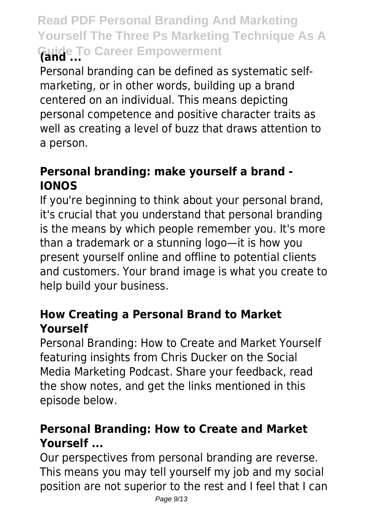# **Read PDF Personal Branding And Marketing Yourself The Three Ps Marketing Technique As A Guide To Career Empowerment (and ...**

Personal branding can be defined as systematic selfmarketing, or in other words, building up a brand centered on an individual. This means depicting personal competence and positive character traits as well as creating a level of buzz that draws attention to a person.

## **Personal branding: make yourself a brand - IONOS**

If you're beginning to think about your personal brand, it's crucial that you understand that personal branding is the means by which people remember you. It's more than a trademark or a stunning logo—it is how you present yourself online and offline to potential clients and customers. Your brand image is what you create to help build your business.

#### **How Creating a Personal Brand to Market Yourself**

Personal Branding: How to Create and Market Yourself featuring insights from Chris Ducker on the Social Media Marketing Podcast. Share your feedback, read the show notes, and get the links mentioned in this episode below.

## **Personal Branding: How to Create and Market Yourself ...**

Our perspectives from personal branding are reverse. This means you may tell yourself my job and my social position are not superior to the rest and I feel that I can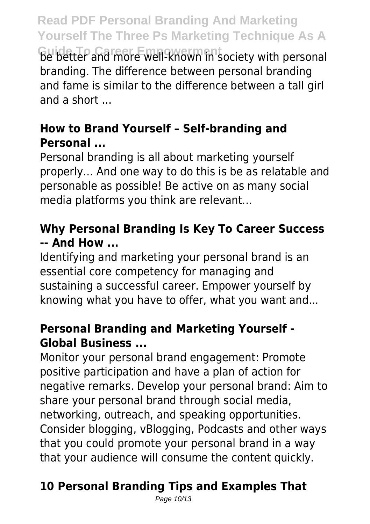**Guide To Career Empowerment** be better and more well-known in society with personal branding. The difference between personal branding and fame is similar to the difference between a tall girl and a short ...

## **How to Brand Yourself – Self-branding and Personal ...**

Personal branding is all about marketing yourself properly… And one way to do this is be as relatable and personable as possible! Be active on as many social media platforms you think are relevant...

## **Why Personal Branding Is Key To Career Success -- And How ...**

Identifying and marketing your personal brand is an essential core competency for managing and sustaining a successful career. Empower yourself by knowing what you have to offer, what you want and...

## **Personal Branding and Marketing Yourself - Global Business ...**

Monitor your personal brand engagement: Promote positive participation and have a plan of action for negative remarks. Develop your personal brand: Aim to share your personal brand through social media, networking, outreach, and speaking opportunities. Consider blogging, vBlogging, Podcasts and other ways that you could promote your personal brand in a way that your audience will consume the content quickly.

# **10 Personal Branding Tips and Examples That**

Page 10/13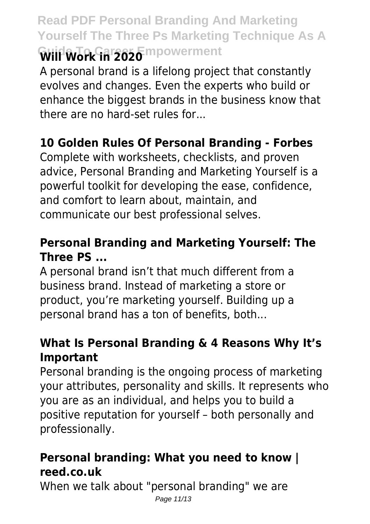# **Read PDF Personal Branding And Marketing Yourself The Three Ps Marketing Technique As A Will Work in 2020** Impowerment

A personal brand is a lifelong project that constantly evolves and changes. Even the experts who build or enhance the biggest brands in the business know that there are no hard-set rules for...

## **10 Golden Rules Of Personal Branding - Forbes**

Complete with worksheets, checklists, and proven advice, Personal Branding and Marketing Yourself is a powerful toolkit for developing the ease, confidence, and comfort to learn about, maintain, and communicate our best professional selves.

## **Personal Branding and Marketing Yourself: The Three PS ...**

A personal brand isn't that much different from a business brand. Instead of marketing a store or product, you're marketing yourself. Building up a personal brand has a ton of benefits, both...

#### **What Is Personal Branding & 4 Reasons Why It's Important**

Personal branding is the ongoing process of marketing your attributes, personality and skills. It represents who you are as an individual, and helps you to build a positive reputation for yourself – both personally and professionally.

#### **Personal branding: What you need to know | reed.co.uk**

When we talk about "personal branding" we are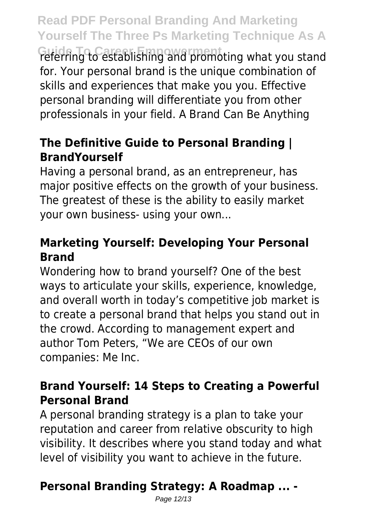**Guide To Career Empowerment** referring to establishing and promoting what you stand for. Your personal brand is the unique combination of skills and experiences that make you you. Effective personal branding will differentiate you from other professionals in your field. A Brand Can Be Anything

## **The Definitive Guide to Personal Branding | BrandYourself**

Having a personal brand, as an entrepreneur, has major positive effects on the growth of your business. The greatest of these is the ability to easily market your own business- using your own...

## **Marketing Yourself: Developing Your Personal Brand**

Wondering how to brand yourself? One of the best ways to articulate your skills, experience, knowledge, and overall worth in today's competitive job market is to create a personal brand that helps you stand out in the crowd. According to management expert and author Tom Peters, "We are CEOs of our own companies: Me Inc.

## **Brand Yourself: 14 Steps to Creating a Powerful Personal Brand**

A personal branding strategy is a plan to take your reputation and career from relative obscurity to high visibility. It describes where you stand today and what level of visibility you want to achieve in the future.

# **Personal Branding Strategy: A Roadmap ... -**

Page 12/13